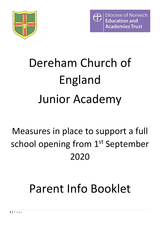



# Dereham Church of England Junior Academy

### Measures in place to support a full school opening from 1<sup>st</sup> September 2020

## Parent Info Booklet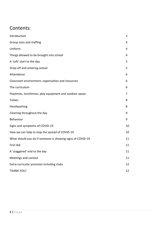### Contents:

| Introduction                                               | 3  |
|------------------------------------------------------------|----|
| Group sizes and staffing                                   | 4  |
| Uniform                                                    | 4  |
| Things allowed to be brought into school                   | 4  |
| A 'soft' start to the day                                  | 5  |
| Drop-off and entering school                               | 5  |
| Attendance                                                 | 6  |
| Classroom environment, organisation and resources          | 6  |
| The curriculum                                             | 6  |
| Playtimes, lunchtimes, play equipment and outdoor space    | 7  |
| <b>Toilets</b>                                             | 8  |
| Handwashing                                                | 8  |
| Cleaning throughout the day                                | 9  |
| Behaviour                                                  | 9  |
| Signs and symptoms of COVID-19                             | 10 |
| How we can help to stop the spread of COVID-19             | 10 |
| What should you do if someone is showing signs of COVID-19 | 11 |
| First Aid                                                  | 11 |
| A 'staggered' end to the day                               | 11 |
| Meetings and contact                                       | 11 |
| Extra-curricular provision including clubs                 | 12 |
| <b>THANK YOU!</b>                                          | 12 |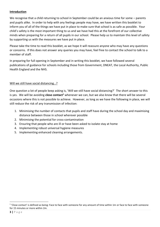#### **Introduction**

We recognise that a child returning to school in September could be an anxious time for some – parents and pupils alike. In order to help with any feelings people may have, we have written this booklet to inform you of all of the things we have put in place to make sure that school is as safe as possible. Your child's safety is the most important thing to us and we have had this at the forefront of our collective minds when preparing for a return of all pupils in our school. Please help us to maintain this level of safety by supporting us with the measures we have put in place.

Please take the time to read this booklet, as we hope it will reassure anyone who may have any questions or concerns. If this does not answer any queries you may have, feel free to contact the school to talk to a member of staff.

In preparing for full opening in September and in writing this booklet, we have followed several publications of guidance for schools including those from Government, DNEAT, the Local Authority, Public Health England and the NHS.

#### Will we still have social distancing...?

One question a lot of people keep asking is, 'Will we still have social distancing?' The short answer to this is yes. We will be avoiding **close contact<sup>1</sup>** whenever we can, but we also know that there will be several occasions where this is not possible to achieve. However, as long as we have the following in place, we will still reduce the risk of any transmission of infection:

- 1. Minimising the number of contacts that pupils and staff have during the school day and maximising distance between those in school wherever possible
- 2. Minimising the potential for cross-contamination
- 3. Ensuring that people who are ill or have been asked to isolate stay at home
- 4. Implementing robust universal hygiene measures
- 5. Implementing enhanced cleaning arrangements.

 $\overline{a}$ 

 $1$  'Close contact' is defined as being: Face to face with someone for any amount of time within 1m or face to face with someone for 15 minutes or more within 2m.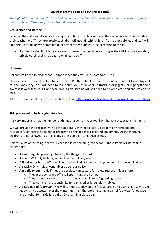#### **So, what are we doing and putting in place?**

*Throughout this handbook, the term 'Bubble' or 'Extended Bubble' may be used. In these instances, they mean: Bubble = Class Group; Extended Bubble – Year Group*

#### **Group sizes and staffing**

When all the children return, for the majority of time, the class will be in their own bubble. This includes their teacher and TA. Where possible, children will not mix with children from other bubbles and staff will limit their interaction with staff and pupils from other bubbles. One exception to this is:

 Staff from other bubbles are allowed to cover in other classes as long as they stick to the key safety principles (all of this has been explained to staff).

#### **Uniform**

Children will need to wear school uniform when they return in September 2020.

On days when your child is timetabled to have PE, they should come to school in their PE kit and stay in it for the whole day. You will need to make sure your child wears a tracksuit or joggers (or leggings) and a sweatshirt over their PE kit on these days, as classrooms will still need to be ventilated and are likely to be cold.

A link to our updated uniform expectations is here: <http://www.derehamjunior.dneat.org/uniform-expectations/>

#### **Things allowed to be brought into school**

It is very important that the number of things that come into school from home are kept to a minimum.

We will provide the children with all the stationery they need (see 'Classroom environment and resources'), so there is no need for children to bring in pencil cases and equipment. At the moment, children are not allowed to bring in any other personal items such as toys.

Below is a list of the things that your child is allowed to bring into school. These items will be kept in classrooms:

- **A small bag** large enough to carry the things in this list
- **A coat** Will only be hung in the cloakroom if very wet
- **A filled water bottle** This will need to be filled at home and large enough for the whole day
- **A snack** Only fruit or vegetables as per our policy
- **A mobile phone** only if they are absolutely necessary for safety reasons. Please note:
	- o They must be turned off and kept in bags at all times
	- $\circ$  They are not allowed to be used in school at all for safeguarding reasons
	- o That we take no responsibility for damaged or lost/stolen mobiles
- **A spare pair of footwear** We will continue to play on the field at break times which is likely to get muddy and be wetter over the winter months. Therefore, a suitable pair of footwear for outside and another for inside is required (brought in a plastic bag).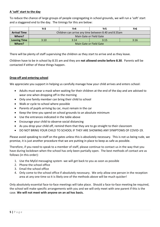#### **A 'soft' start to the day**

To reduce the chance of large groups of people congregating in school grounds, we will run a 'soft' start and a staggered end to the day. The timings for this are below:

|                     | Yr3                                                  | Yr4  | Yr5  | Yr6  |  |
|---------------------|------------------------------------------------------|------|------|------|--|
| <b>Arrival Time</b> | Children can arrive any time between 8.40 and 8.55am |      |      |      |  |
| Where?              | Main Gate or Field Gate                              |      |      |      |  |
| <b>Leaving Time</b> | 3:10                                                 | 3:14 | 3:15 | 3:16 |  |
| Where?              | Main Gate or Field Gate                              |      |      |      |  |

There will be plenty of staff supervising the children as they start to arrive and as they leave.

Children have to be in school by 8.55 am and they are **not allowed onsite before 8.30**. Parents will be contacted if either of these things happen.

#### **Drop-off and entering school**

We appreciate you support in helping us carefully manage how your child arrives and enters school:

- Adults must wear a mask when waiting for their children at the end of the day and are advised to wear one when dropping off in the morning
- Only one family member can bring their child to school
- Walk or cycle to school where possible
- Parents of pupils arriving by car, must remain in the car
- Keep the time you spend on school grounds to an absolute minimum
- Use the entrances indicated in the table above
- Encourage your child to observe social distancing
- As you drop your child off, remind them that they are to go straight to their classroom
- DO NOT BRING YOUR CHILD TO SCHOOL IF THEY ARE SHOWING ANY SYMPTOMS OF COVID-19.

Please avoid speaking to staff on the gates unless this is absolutely necessary. This is not us being rude, we promise, it is just another procedure that we are putting in place to keep as safe as possible.

Therefore, if you need to speak to a member of staff, please continue to contact us in the way that you have during lockdown when the school has only been partially open. The best methods of contact are as follows (in this order):

- 1. Use the MyEd messaging system -we will get back to you as soon as possible
- 2. Phone the school office
- 3. Email the school office
- 4. Only come to the school office if absolutely necessary. We only allow one person in the reception area at any one time so it is likely one of the methods above will be much quicker!

Only absolutely essential face-to-face meetings will take place. Should a face-to-face meeting be required, the school will make specific arrangements with you and we will only meet with one parent if this is the case. **We will not meet with anyone on an ad hoc basis.**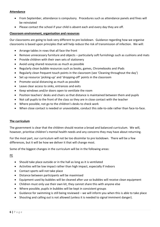#### **Attendance**

- From September, attendance is compulsory. Procedures such as attendance panels and fines will be reinstated
- Please contact the school if your child is absent each and every day they are off.

#### **Classroom environment, organisation and resources**

Our classrooms are going to look very different to pre lockdown. Guidance regarding how we organise classrooms is based upon principles that will help reduce the risk of transmission of infection. We will:

- Arrange tables in rows that all face the front
- Remove unnecessary furniture and objects particularly soft furnishings such as cushions and mats
- Provide children with their own sets of stationery
- Avoid using shared resources as much as possible
- Regularly clean bubble resources such as books, games, Chromebooks and iPads
- Regularly clean frequent touch points in the classroom (see 'Cleaning throughout the day')
- Set up resource 'picking-up' and 'dropping-off' points in the classroom
- Promote social distancing as much as possible
- Leave clear access to sinks, entrances and exits
- Keep windows and/or doors open to ventilate the room
- Position teachers' desks and chairs so that distance is maintained between them and pupils
- Not call pupils to the front of the class so they are in close contact with the teacher
- Where possible, not go to the children's desks to check work
- When close contact is needed or unavoidable, conduct this side-to-side rather than face-to-face.

#### **The curriculum**

The government is clear that the children should receive a broad and balanced curriculum. We will, however, prioritise children's mental health needs and any concerns they may have about returning.

For the most part, our curriculum will not be too dissimilar to pre lockdown. There will be a few differences, but it will be how we deliver it that will change most.

Some of the biggest changes in the curriculum will be in the following areas:

PE

- Should take place outside or in the hall as long as it is ventilated
- Activities will be low impact rather than high impact, especially if indoors
- Contact sports will not take place
- Distance between participants will be maximised
- Equipment used by bubbles will be cleaned after use so bubbles will receive clean equipment
- Children must only use their own kit, they cannot share this with anyone else
- Where possible, pupils in bubbles will be kept in consistent groups
- Guidance for swimming is still being reviewed we will inform you when this is able to take place
- Shouting and calling out is not allowed (unless it is needed to signal imminent danger).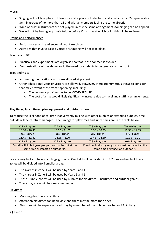#### Music

- Singing will not take place. Unless it can take place outside; be socially distanced at 2m (preferably 3m); in groups of no more than 15 and with all members facing the same direction!
- Wind or brass instruments are not played unless the same arrangements for singing can be applied
- We will not be having any music tuition before Christmas at which point this will be reviewed.

#### Drama and performances

- Performances with audiences will not take place
- Activities that involve raised voices or shouting will not take place.

#### Science and DT

- Practicals and experiments are organised so that 'close contact' is avoided
- Demonstrations of the above avoid the need for students to congregate at the front.

#### Trips and visits

- No overnight educational visits are allowed at present
- Other educational visits or visitors are allowed. However, there are numerous things to consider that may prevent these from happening, including:
	- o The venue or provider has to be 'COVID SECURE'
	- $\circ$  The cost of a trip would likely significantly increase due to travel and staffing arrangements.

#### **Play times, lunch times, play equipment and outdoor space**

To reduce the likelihood of children inadvertently mixing with other bubbles or extended bubbles, time outside will be carefully managed. The timings for playtimes and lunchtimes are in the table below:

| $Yr3 - Play$ am                                       | $Yr4 - Play am$ | $Yr5 - Play am$                                       | $Yr6 - Play am$ |
|-------------------------------------------------------|-----------------|-------------------------------------------------------|-----------------|
| $10.30 - 10.45$                                       | $10.50 - 11.05$ | $10.30 - 10.45$                                       | $10.50 - 11.05$ |
| Yr3 - Lunch                                           | Yr4 - Lunch     | Yr5 - Lunch                                           | Yr6 - Lunch     |
| $11.45 - 12.30$                                       | $12.35 - 1.20$  | $11.45 - 12.30$                                       | $12.35 - 1.20$  |
| $Yr3 - Play pm$                                       | $Yr4 - Play pm$ | $Yr5 - Play pm$                                       | Yr6 - Play pm   |
| Could be fluid but year groups must not be out at the |                 | Could be fluid but year groups must not be out at the |                 |
| same time or impact on outdoor PE                     |                 | same time or impact on outdoor PE                     |                 |

We are very lucky to have such huge grounds. Our field will be divided into 2 Zones and each of these zones will be divided into 4 smaller areas:

- The 4 areas in Zone 1 will be used by Years 3 and 4
- The 4 areas in Zone 2 will be used by Years 5 and 6
- These 'Bubble Zones' will be used by bubbles for playtimes, lunchtimes and outdoor games
- These play areas will be clearly marked out.

#### Playtimes

- Morning playtime is a set time
- Afternoon playtimes can be flexible and there may be more than one!
- Playtimes will be supervised each day by a member of the bubble (teacher or TA) initially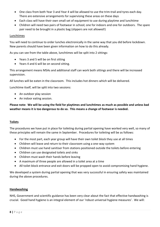- One class from both Year 3 and Year 4 will be allowed to use the trim-trail and tyres each day. There are extensive arrangements for supervising these areas on these days
- Each class will have their own small set of equipment to use during playtime and lunchtime
- Children will need two pairs of footwear in school; one for indoors and one for outdoors. The spare pair need to be brought in a plastic bag (slippers are not allowed!)

#### Lunchtimes

You will need to continue to order lunches electronically in the same way that you did before lockdown. New parents should have been given information on how to do this already.

As you can see from the table above, lunchtimes will be split into 2 sittings:

- Years 3 and 5 will be on first sitting
- Years 4 and 6 will be on second sitting.

This arrangement means MSAs and additional staff can work both sittings and there will be increased supervision.

All lunches will be eaten in the classroom. This includes hot dinners which will be delivered.

Lunchtime itself, will be split into two sessions:

- An outdoor play session
- An indoor eating session.

**Please note: We will be using the field for playtimes and lunchtimes as much as possible and unless bad weather means it is too dangerous to do so. This means a change of footwear is needed.**

#### **Toilets**

The procedures we have put in place for toileting during partial opening have worked very well, so many of these principles will remain the same in September. Procedures for toileting will be as follows:

- For the most part, each year group will have their own toilet block they use at all times
- Children will leave and return to their classroom using a one-way system
- Children must use hand sanitiser from stations positioned outside the toilets before entering
- Children can use designated toilets and sinks
- Children must wash their hands before leaving
- A maximum of three people are allowed in a toilet area at a time
- All toilet block entrance and exit doors will be propped open to avoid compromising hand hygiene.

We developed a system during partial opening that was very successful in ensuring safety was maintained during the above procedures.

#### **Handwashing**

NHS, Government and scientific guidance has been very clear about the fact that effective handwashing is crucial. Good hand hygiene is an integral element of our 'robust universal hygiene measures'. We will: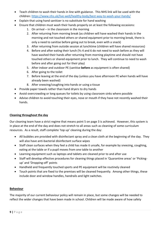- Teach children to wash their hands in line with guidance. This NHS link will be used with the children:<https://www.nhs.uk/live-well/healthy-body/best-way-to-wash-your-hands/>
- Explain that using hand sanitizer is no substitute for hand washing
- Ensure that children must wash their hands properly on at least the following occasions:
	- 1. On arrival in the classroom in the morning
	- 2. After returning from morning break (as children will have washed their hands in the morning and not touched others or shared equipment prior to morning break, there is only a need to sanitise before going out to break, even with a snack)
	- 3. After returning from outside session at lunchtime (children will have shared resources)
	- 4. Before and after eating their lunch (Ys 4 and 6 do not need to wash before as they will have washed their hands after returning from morning playtime and should not have touched others or shared equipment prior to lunch. They will continue to need to wash before and after going out for their play)
	- 5. After indoor and outdoor PE (sanitise **before** as equipment is often shared)
	- 6. After going to the toilet
	- 7. Before leaving at the end of the day (unless you have afternoon PE when hands will have already been washed)
	- 8. After sneezing/coughing into hands or using a tissue
- Provide paper towels rather than hand dryers to dry hands
- Avoid overcrowding or long queues for toilets by using classroom sinks where possible
- Advise children to avoid touching their eyes, nose or mouth if they have not recently washed their hands.

#### **Cleaning throughout the day**

Our cleaning team have a strict regime that means point 5 on page 3 is achieved.However, this system is in place at the end of the day and does not stretch to all areas such as cleaning of some curriculum resources. As a result, staff complete 'top up' cleaning during the day:

- All bubbles are provided with disinfectant spray and a clean cloth at the beginning of the day. They will also have anti-bacterial disinfectant surface wipes
- Staff clean surfaces when they feel a child has made it unsafe, for example by sneezing, coughing, eating at the table or if a pupil moves from one table to another
- Learning equipment such as laptops and tablets are cleaned prior to and after use
- Staff will develop effective procedures for cleaning things placed in 'Quarantine areas' or 'Pickingup' and 'Dropping-off' points
- Handheld and frequently touched sports and PE equipment will be routinely cleaned
- Touch points that are fixed to the premises will be cleaned frequently. Among other things, these include door and window handles, handrails and light switches.

#### **Behaviour**

The majority of our current behaviour policy will remain in place, but some changes will be needed to reflect the wider changes that have been made in school. Children will be made aware of how safety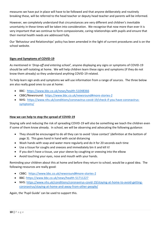measures we have put in place will have to be followed and that anyone deliberately and routinely breaking these, will be referred to the head teacher or deputy head teacher and parents will be informed.

However, we completely understand that circumstances are very different and children's inevitable uncertainty in these times will be taken into consideration. We recognise that now more than ever it is very important that we continue to form compassionate, caring relationships with pupils and ensure that their mental health needs are addressed fully.

Our 'Behaviour and Relationships' policy has been amended in the light of current procedures and is on the school website.

#### **Signs and Symptoms of COVID-19**

As mentioned in '*Drop-off and entering school',* anyone displaying any signs or symptoms of COVID-19 should be self-isolating at home. We will help children learn these signs and symptoms (if they do not know them already) so they understand anything COVID-19 related.

To help learn sign ands and symptoms we will use information from a range of sources. The three below are also really good ones to use at home:

- BBC: <https://www.bbc.co.uk/news/health-51048366>
- CBBC/Newsround: <https://www.bbc.co.uk/newsround#more-stories-2>
- NHS: [https://www.nhs.uk/conditions/coronavirus-covid-19/check-if-you-have-coronavirus](https://www.nhs.uk/conditions/coronavirus-covid-19/check-if-you-have-coronavirus-symptoms/)[symptoms/](https://www.nhs.uk/conditions/coronavirus-covid-19/check-if-you-have-coronavirus-symptoms/)

#### **How we can help to stop the spread of COVID-19**

Staying safe and reducing the risk of spreading COVID-19 will also be something we teach the children even if some of them know already. In school, we will be observing and advocating the following guidance:

- They should be encouraged to do all they can to avoid 'close contact' (definition at the bottom of page 3). This goes hand in hand with social distancing
- Wash hands with soap and water more regularly and do it for 20 seconds each time
- Use a tissue for coughs and sneezes and immediately bin it and kill it!
- If you don't have a tissue, use your sleeve by coughing or sneezing into the elbow
- Avoid touching your eyes, nose and mouth with your hands.

Reminding your children about this at home and before they return to school, would be a good idea. The following resources are really good:

- CBBC: <https://www.bbc.co.uk/newsround#more-stories-2>
- BBC:<https://www.bbc.co.uk/news/health-51711227>
- NHS: [https://www.nhs.uk/conditions/coronavirus-covid-19/staying-at-home-to-avoid-getting](https://www.nhs.uk/conditions/coronavirus-covid-19/staying-at-home-to-avoid-getting-coronavirus/staying-at-home-and-away-from-other-people/)[coronavirus/staying-at-home-and-away-from-other-people/](https://www.nhs.uk/conditions/coronavirus-covid-19/staying-at-home-to-avoid-getting-coronavirus/staying-at-home-and-away-from-other-people/)

Again, the 'Pupil Guide' can be used to support this.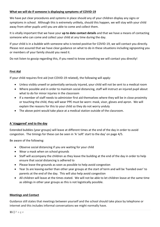#### **What we will do if someone is displaying symptoms of COVID-19**

We have put clear procedures and systems in place should any of your children display any signs or symptoms in school. Although this is extremely unlikely, should this happen, we will stay with your child away from other pupils until you are able to come and collect them.

It is vitally important that we have your **up to date contact details** and that we have a means of contacting someone who can come and collect your child at any time during the day.

If your child is in a bubble with someone who is tested positive for COVID-19, we will contact you directly. Please rest assured that we have clear guidance on what to do in these situations including signposting you or members of your family should you need it.

Do not listen to gossip regarding this, if you need to know something we will contact you directly!

#### **First Aid**

If your child requires first aid (not COVID-19 related), the following will apply:

- Unless visibly unwell or potentially seriously injured, your child will not be sent to a medical room
- Where possible and in order to maintain social distancing, staff will instruct an injured pupil about what to do for minor injuries in the classroom
- If a member of staff needs to administer first aid themselves where they will be in close proximity or touching the child, they will wear PPE must be worn: mask, visor, gloves and apron. We will explain the reasons for this to your child so they do not worry unduly
- The above point would take place at a medical station outside of the classroom.

#### **A 'staggered' end to the day**

Extended bubbles (year groups) will leave at different times at the end of the day in order to avoid congestion. The timings for these can be seen in 'A 'soft' start to the day' on page 4/5.

Be aware of the following:

- Observe social distancing if you are waiting for your child
- Wear a mask when on school grounds
- Staff will accompany the children as they leave the building at the end of the day in order to help ensure that social distancing is adhered to
- Please leave the grounds as soon as possible to help avoid congestion
- Year 3s are leaving earlier than other year groups at the start of term and will be 'handed over' to parents at the end of the day. This will also help avoid congestion
- All children will leave at the times stated. We will not be able to let children leave at the same time as siblings in other year groups as this is not logistically possible.

#### **Meetings and Contact**

Guidance still states that meetings between yourself and the school should take place by telephone or internet and this includes informal conversations we might normally have.